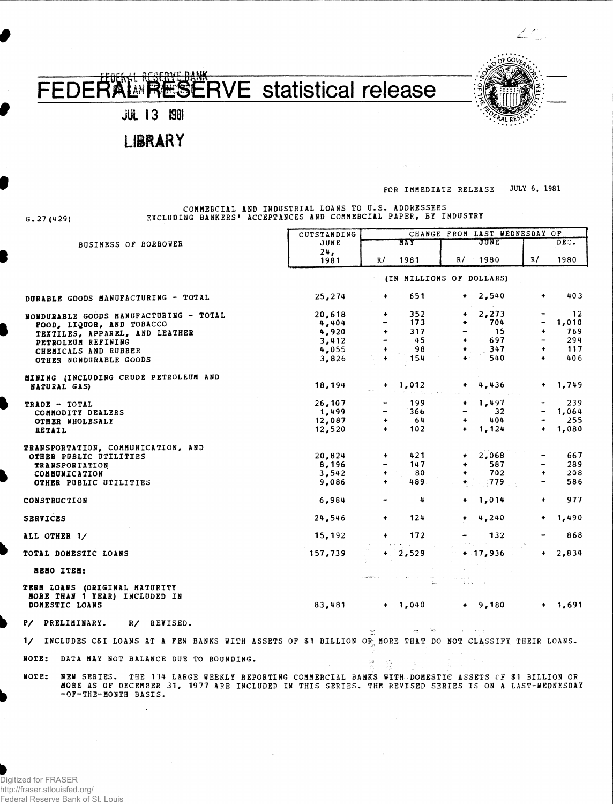## **EFAL RESERVE Statistical release**



**LIBRARY** 

**G. 27 (429)**

## **FOR IMMEDIATE RELEASE JULY 6, 1981**

[[

 $\angle$  C

\* • • • • *f*AL

**COMMERCIAL AND INDUSTRIAL LOANS TO U.S. ADDRESSEES EXCLUDING BANKERS' ACCEPTANCES AND COMMERCIAL PAPER, BY INDUSTRY**

|                                                                                                                                                                                                                                             | OUTSTANDING              | CHANGE FROM LAST WEDNESDAY OF |                    |                      |              |                          |             |
|---------------------------------------------------------------------------------------------------------------------------------------------------------------------------------------------------------------------------------------------|--------------------------|-------------------------------|--------------------|----------------------|--------------|--------------------------|-------------|
| <b>BUSINESS OF BORROWER</b>                                                                                                                                                                                                                 | JUNE                     |                               | MAY                | JUNE                 |              | DEC.                     |             |
|                                                                                                                                                                                                                                             | 24.<br>1981              | R/                            | 1981               | R/                   | 1980         | R/                       | 1980        |
|                                                                                                                                                                                                                                             | (IN MILLIONS OF DOLLARS) |                               |                    |                      |              |                          |             |
| DURABLE GOODS MANUFACTURING - TOTAL                                                                                                                                                                                                         | 25,274                   | ۰                             | 651                | $\bullet$            | 2,540        | ٠                        | 403         |
| NONDURABLE GOODS MANUFACTURING - TOTAL                                                                                                                                                                                                      | 20,618<br>4,404          | ٠                             | 352<br>173         | ٠                    | 2,273<br>704 |                          | 12<br>1,010 |
| FOOD, LIQUOR, AND TOBACCO                                                                                                                                                                                                                   | 4,920                    | ۰                             | 317                |                      | 15           | $\ddotmark$              | 769         |
| TEXTILES, APPAREL, AND LEATHER                                                                                                                                                                                                              | 3,412                    |                               | 45                 | $\ddotmark$          | 697          | $\overline{\phantom{a}}$ | 294         |
| PETROLEUM REFINING                                                                                                                                                                                                                          | 4,055                    | $\ddot{}$                     | 98                 | ۰                    | 347          | ٠                        | 117         |
| CHEMICALS AND RUBBER<br>OTHER NONDURABLE GOODS                                                                                                                                                                                              | 3,826                    | $\ddotmark$                   | 154                | $\bullet$            | 540          | $\ddot{\bullet}$         | 406         |
|                                                                                                                                                                                                                                             |                          |                               |                    |                      |              |                          |             |
| MINING (INCLUDING CRUDE PETROLEUM AND                                                                                                                                                                                                       |                          |                               |                    |                      |              |                          |             |
| NATURAL GAS)                                                                                                                                                                                                                                | 18,194                   | ۰                             | 1,012              | $\ddotmark$          | 4,436        | $\bullet$                | 1,749       |
| TRADE - TOTAL                                                                                                                                                                                                                               | 26,107                   |                               | 199                | ۰                    | 1,497        |                          | 239         |
| COMMODITY DEALERS                                                                                                                                                                                                                           | 1,499                    |                               | 366                |                      | 32           |                          | 1,064       |
| <b>OTHER WHOLESALE</b>                                                                                                                                                                                                                      | 12,087                   | ۰                             | 64                 |                      | 404          |                          | 255         |
| RETAIL                                                                                                                                                                                                                                      | 12,520                   | $\ddot{\phantom{1}}$          | 102                | ۰                    | 1,124        | $\ddot{\phantom{1}}$     | 1,080       |
| TRANSPORTATION, COMMUNICATION, AND                                                                                                                                                                                                          |                          |                               |                    |                      |              |                          |             |
| OTHER PUBLIC UTILITIES                                                                                                                                                                                                                      | 20,824                   |                               | 421                |                      | 2,068        |                          | 667         |
| <b>TRANSPORTATION</b>                                                                                                                                                                                                                       | 8,196                    |                               | 147                | ۰                    | 587          |                          | 289         |
| COMMUNICATION                                                                                                                                                                                                                               | 3,542                    | ۰                             | 80                 | $\ddot{\phantom{1}}$ | 702          | $\bullet$                | 208         |
| OTHER PUBLIC UTILITIES                                                                                                                                                                                                                      | 9,086                    | $\ddot{\bullet}$              | 489                |                      | .779         |                          | 586         |
| CONSTRUCTION                                                                                                                                                                                                                                | 6,984                    |                               | 4                  |                      | 1,014        | $\ddot{\phantom{1}}$     | 977         |
| <b>SERVICES</b>                                                                                                                                                                                                                             | 24,546                   |                               | 124                |                      | 4,240        |                          | 1,490       |
| ALL OTHER 1/                                                                                                                                                                                                                                | 15,192                   | $\ddot{\phantom{1}}$          | 172<br>مي الجزارية |                      | 132          |                          | 868         |
| TOTAL DOMESTIC LOANS                                                                                                                                                                                                                        | 157,739                  |                               | $+ 2,529$          |                      | $+ 17,936$   | $\ddot{\phantom{1}}$     | 2,834       |
| MENO ITEM:                                                                                                                                                                                                                                  |                          |                               |                    |                      |              |                          |             |
| TERM LOANS (ORIGINAL MATURITY<br>MORE THAN 1 YEAR) INCLUDED IN                                                                                                                                                                              |                          |                               |                    | i en                 |              |                          |             |
| DOMESTIC LOANS                                                                                                                                                                                                                              | 83,481                   |                               | $+ 1,040$          |                      | $+$ 9,180    | ٠                        | 1,691       |
| P/ PRELIMINARY.<br>R/ REVISED.                                                                                                                                                                                                              |                          |                               |                    |                      |              |                          |             |
| INCLUDES C6I LOANS AT A FEW BANKS WITH ASSETS OF \$1 BILLION OR MORE THAT DO NOT CLASSIFY THEIR LOANS.<br>$\frac{1}{2}$                                                                                                                     |                          |                               |                    |                      |              |                          |             |
| NOTE:<br>DATA MAY NOT BALANCE DUE TO ROUNDING.                                                                                                                                                                                              |                          |                               |                    |                      |              |                          |             |
| NOTE:<br>NEW SERIES. THE 134 LARGE WEEKLY REPORTING COMMERCIAL BANK'S WITH-DOMESTIC ASSETS OF \$1 BILLION OR<br>MORE AS OF DECEMBER 31, 1977 ARE INCLUDED IN THIS SERIES. THE REVISED SERIES IS ON A LAST-WEDNESDAY<br>-OF-THE-MONTH BASIS. |                          |                               |                    |                      |              |                          |             |

 $\sim$